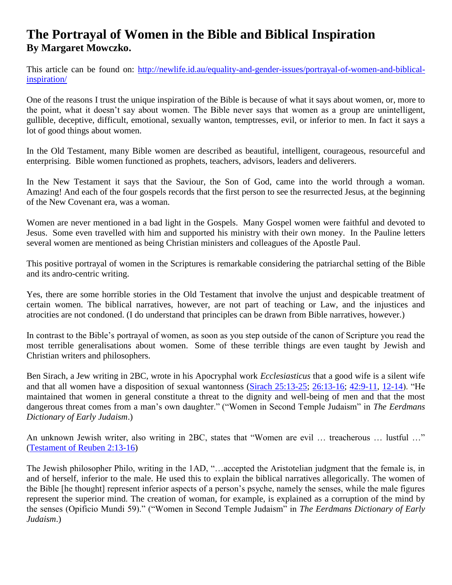## **The Portrayal of Women in the Bible and Biblical Inspiration By Margaret Mowczko.**

This article can be found on: [http://newlife.id.au/equality-and-gender-issues/portrayal-of-women-and-biblical](http://newlife.id.au/equality-and-gender-issues/portrayal-of-women-and-biblical-inspiration/)[inspiration/](http://newlife.id.au/equality-and-gender-issues/portrayal-of-women-and-biblical-inspiration/)

One of the reasons I trust the unique inspiration of the Bible is because of what it says about women, or, more to the point, what it doesn't say about women. The Bible never says that women as a group are unintelligent, gullible, deceptive, difficult, emotional, sexually wanton, temptresses, evil, or inferior to men. In fact it says a lot of good things about women.

In the Old Testament, many Bible women are described as beautiful, intelligent, courageous, resourceful and enterprising. Bible women functioned as prophets, teachers, advisors, leaders and deliverers.

In the New Testament it says that the Saviour, the Son of God, came into the world through a woman. Amazing! And each of the four gospels records that the first person to see the resurrected Jesus, at the beginning of the New Covenant era, was a woman.

Women are never mentioned in a bad light in the Gospels. Many Gospel women were faithful and devoted to Jesus. Some even travelled with him and supported his ministry with their own money. In the Pauline letters several women are mentioned as being Christian ministers and colleagues of the Apostle Paul.

This positive portrayal of women in the Scriptures is remarkable considering the patriarchal setting of the Bible and its andro-centric writing.

Yes, there are some horrible stories in the Old Testament that involve the unjust and despicable treatment of certain women. The biblical narratives, however, are not part of teaching or Law, and the injustices and atrocities are not condoned. (I do understand that principles can be drawn from Bible narratives, however.)

In contrast to the Bible's portrayal of women, as soon as you step outside of the canon of Scripture you read the most terrible generalisations about women. Some of these terrible things are even taught by Jewish and Christian writers and philosophers.

Ben Sirach, a Jew writing in 2BC, wrote in his Apocryphal work *Ecclesiasticus* that a good wife is a silent wife and that all women have a disposition of sexual wantonness [\(Sirach 25:13-25;](http://biblia.com/bible/nasb95/Sirach%2025.13-25) [26:13-16;](http://biblia.com/bible/nasb95/Sirach%2026.13-16) [42:9-11,](http://biblia.com/bible/nasb95/Sirach%2042.9-11) [12-14\)](http://biblia.com/bible/nasb95/Sirach%2042.12-14). "He maintained that women in general constitute a threat to the dignity and well-being of men and that the most dangerous threat comes from a man's own daughter." ("Women in Second Temple Judaism" in *The Eerdmans Dictionary of Early Judaism*.)

An unknown Jewish writer, also writing in 2BC, states that "Women are evil … treacherous … lustful …" [\(Testament of Reuben 2:13-16\)](http://www.sacred-texts.com/bib/fbe/fbe268.htm)

The Jewish philosopher Philo, writing in the 1AD, "…accepted the Aristotelian judgment that the female is, in and of herself, inferior to the male. He used this to explain the biblical narratives allegorically. The women of the Bible [he thought] represent inferior aspects of a person's psyche, namely the senses, while the male figures represent the superior mind. The creation of woman, for example, is explained as a corruption of the mind by the senses (Opificio Mundi 59)." ("Women in Second Temple Judaism" in *The Eerdmans Dictionary of Early Judaism*.)